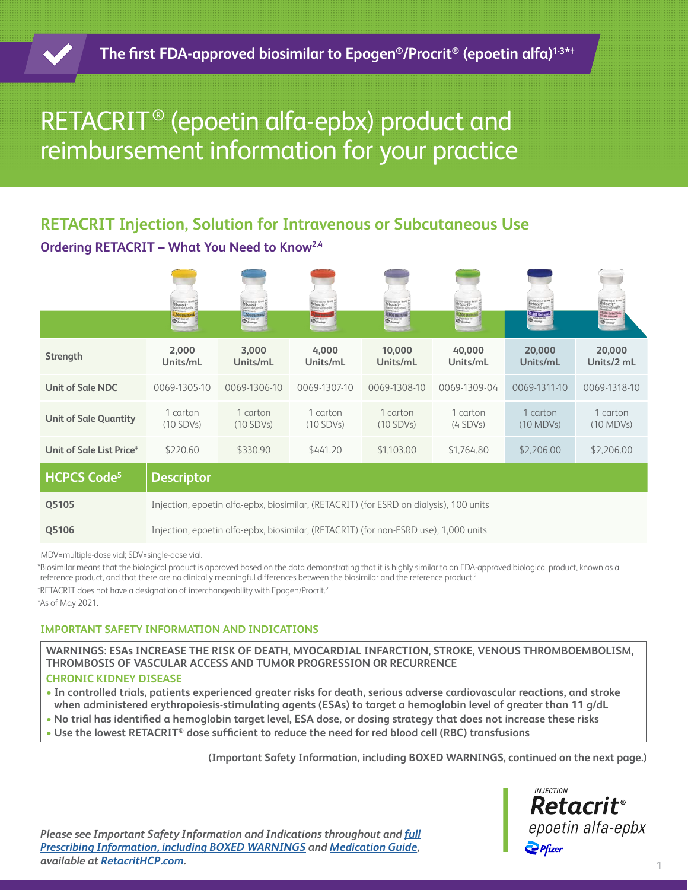# RETACRIT® (epoetin alfa-epbx) product and reimbursement information for your practice

# **RETACRIT Injection, Solution for Intravenous or Subcutaneous Use Ordering RETACRIT – What You Need to Know2,4**

|                                      | Retacrit                                                                               | Retacrit<br>Social Alta ada<br><b>1,000 Balts/PM</b> | Retacrit-<br>$\bigcirc$ | Retacrit-<br><b>12,000 Units/P</b><br>$\sum_{i=1}^{n}$ | Retacrit<br><b>R.000 Bails</b><br>$\Phi_{\rm{mag}}$ | <b>Beautiful and</b><br><b>Macrit</b> <sup>*</sup><br>28,000 Units/of | etaczit <sup>+</sup><br>78,830 Dalta/2 or<br>$rac{1}{2}$ |
|--------------------------------------|----------------------------------------------------------------------------------------|------------------------------------------------------|-------------------------|--------------------------------------------------------|-----------------------------------------------------|-----------------------------------------------------------------------|----------------------------------------------------------|
| Strength                             | 2,000<br>Units/mL                                                                      | 3,000<br>Units/mL                                    | 4,000<br>Units/mL       | 10,000<br>Units/mL                                     | 40,000<br>Units/mL                                  | 20,000<br>Units/mL                                                    | 20,000<br>Units/2 mL                                     |
| <b>Unit of Sale NDC</b>              | 0069-1305-10                                                                           | 0069-1306-10                                         | 0069-1307-10            | 0069-1308-10                                           | 0069-1309-04                                        | 0069-1311-10                                                          | 0069-1318-10                                             |
| <b>Unit of Sale Quantity</b>         | 1 carton<br>$(10$ SDVs)                                                                | 1 carton<br>$(10$ SDVs)                              | 1 carton<br>$(10$ SDVs) | 1 carton<br>$(10$ SDVs)                                | 1 carton<br>$(4$ SDVs)                              | 1 carton<br>$(10 \text{ MDVs})$                                       | 1 carton<br>(10 MDVs)                                    |
| Unit of Sale List Price <sup>#</sup> | \$220.60                                                                               | \$330.90                                             | \$441.20                | \$1,103.00                                             | \$1,764.80                                          | \$2,206.00                                                            | \$2,206.00                                               |
| <b>HCPCS Code<sup>5</sup></b>        | <b>Descriptor</b>                                                                      |                                                      |                         |                                                        |                                                     |                                                                       |                                                          |
| Q5105                                | Injection, epoetin alfa-epbx, biosimilar, (RETACRIT) (for ESRD on dialysis), 100 units |                                                      |                         |                                                        |                                                     |                                                                       |                                                          |
| Q5106                                | Injection, epoetin alfa-epbx, biosimilar, (RETACRIT) (for non-ESRD use), 1,000 units   |                                                      |                         |                                                        |                                                     |                                                                       |                                                          |

MDV=multiple-dose vial; SDV=single-dose vial.

\*Biosimilar means that the biological product is approved based on the data demonstrating that it is highly similar to an FDA-approved biological product, known as a reference product, and that there are no clinically meaningful differences between the biosimilar and the reference product.<sup>2</sup> <sup>+</sup>RETACRIT does not have a designation of interchangeability with Epogen/Procrit.<sup>2</sup> ‡ As of May 2021.

## **IMPORTANT SAFETY INFORMATION AND INDICATIONS**

**WARNINGS: ESAs INCREASE THE RISK OF DEATH, MYOCARDIAL INFARCTION, STROKE, VENOUS THROMBOEMBOLISM, THROMBOSIS OF VASCULAR ACCESS AND TUMOR PROGRESSION OR RECURRENCE**

## **CHRONIC KIDNEY DISEASE**

- **• In controlled trials, patients experienced greater risks for death, serious adverse cardiovascular reactions, and stroke when administered erythropoiesis-stimulating agents (ESAs) to target a hemoglobin level of greater than 11 g/dL**
- **• No trial has identified a hemoglobin target level, ESA dose, or dosing strategy that does not increase these risks**
- **• Use the lowest RETACRIT® dose sufficient to reduce the need for red blood cell (RBC) transfusions**

**(Important Safety Information, including BOXED WARNINGS, continued on the next page.)**



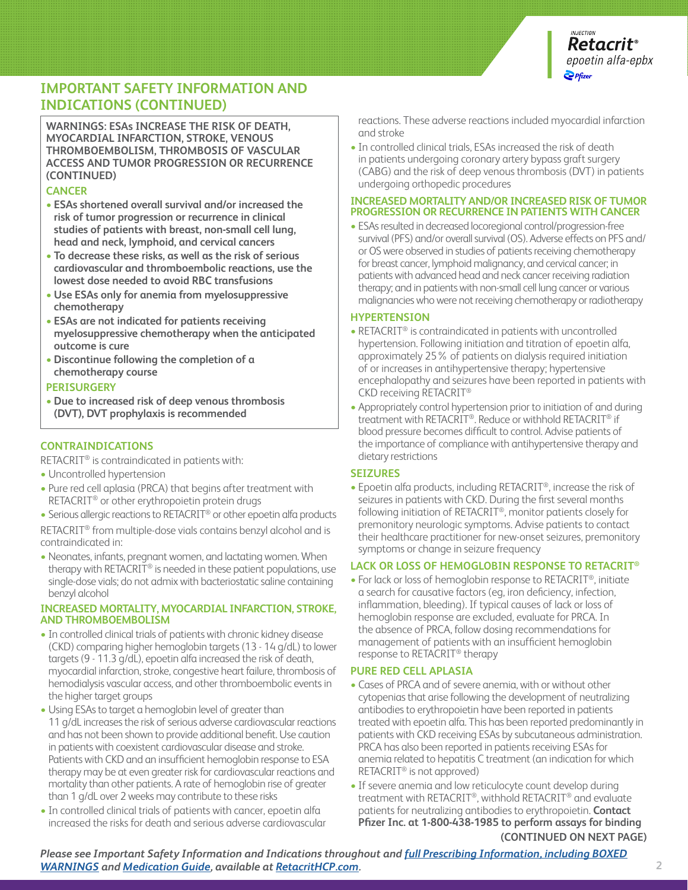

# **IMPORTANT SAFETY INFORMATION AND INDICATIONS (CONTINUED)**

**WARNINGS: ESAs INCREASE THE RISK OF DEATH, MYOCARDIAL INFARCTION, STROKE, VENOUS THROMBOEMBOLISM, THROMBOSIS OF VASCULAR ACCESS AND TUMOR PROGRESSION OR RECURRENCE (CONTINUED)**

#### **CANCER**

- **• ESAs shortened overall survival and/or increased the risk of tumor progression or recurrence in clinical studies of patients with breast, non-small cell lung, head and neck, lymphoid, and cervical cancers**
- **• To decrease these risks, as well as the risk of serious cardiovascular and thromboembolic reactions, use the lowest dose needed to avoid RBC transfusions**
- **• Use ESAs only for anemia from myelosuppressive chemotherapy**
- **• ESAs are not indicated for patients receiving myelosuppressive chemotherapy when the anticipated outcome is cure**
- **• Discontinue following the completion of a chemotherapy course**

#### **PERISURGERY**

**• Due to increased risk of deep venous thrombosis (DVT), DVT prophylaxis is recommended**

## **CONTRAINDICATIONS**

RETACRIT® is contraindicated in patients with:

- **•** Uncontrolled hypertension
- **•** Pure red cell aplasia (PRCA) that begins after treatment with RETACRIT® or other erythropoietin protein drugs
- **•** Serious allergic reactions to RETACRIT® or other epoetin alfa products

RETACRIT® from multiple-dose vials contains benzyl alcohol and is contraindicated in:

**•** Neonates, infants, pregnant women, and lactating women. When therapy with RETACRIT® is needed in these patient populations, use single-dose vials; do not admix with bacteriostatic saline containing benzyl alcohol

#### **INCREASED MORTALITY, MYOCARDIAL INFARCTION, STROKE, AND THROMBOEMBOLISM**

- **•** In controlled clinical trials of patients with chronic kidney disease (CKD) comparing higher hemoglobin targets (13 - 14 g/dL) to lower targets (9 - 11.3 g/dL), epoetin alfa increased the risk of death, myocardial infarction, stroke, congestive heart failure, thrombosis of hemodialysis vascular access, and other thromboembolic events in the higher target groups
- **•** Using ESAs to target a hemoglobin level of greater than 11 g/dL increases the risk of serious adverse cardiovascular reactions and has not been shown to provide additional benefit. Use caution in patients with coexistent cardiovascular disease and stroke. Patients with CKD and an insufficient hemoglobin response to ESA therapy may be at even greater risk for cardiovascular reactions and mortality than other patients. A rate of hemoglobin rise of greater than 1 g/dL over 2 weeks may contribute to these risks
- **•** In controlled clinical trials of patients with cancer, epoetin alfa increased the risks for death and serious adverse cardiovascular

reactions. These adverse reactions included myocardial infarction and stroke

**•** In controlled clinical trials, ESAs increased the risk of death in patients undergoing coronary artery bypass graft surgery (CABG) and the risk of deep venous thrombosis (DVT) in patients undergoing orthopedic procedures

#### **INCREASED MORTALITY AND/OR INCREASED RISK OF TUMOR PROGRESSION OR RECURRENCE IN PATIENTS WITH CANCER**

**•** ESAs resulted in decreased locoregional control/progression-free survival (PFS) and/or overall survival (OS). Adverse effects on PFS and/ or OS were observed in studies of patients receiving chemotherapy for breast cancer, lymphoid malignancy, and cervical cancer; in patients with advanced head and neck cancer receiving radiation therapy; and in patients with non-small cell lung cancer or various malignancies who were not receiving chemotherapy or radiotherapy

#### **HYPERTENSION**

- **•** RETACRIT® is contraindicated in patients with uncontrolled hypertension. Following initiation and titration of epoetin alfa, approximately 25% of patients on dialysis required initiation of or increases in antihypertensive therapy; hypertensive encephalopathy and seizures have been reported in patients with CKD receiving RETACRIT®
- **•** Appropriately control hypertension prior to initiation of and during treatment with RETACRIT®. Reduce or withhold RETACRIT® if blood pressure becomes difficult to control. Advise patients of the importance of compliance with antihypertensive therapy and dietary restrictions

#### **SEIZURES**

**•** Epoetin alfa products, including RETACRIT®, increase the risk of seizures in patients with CKD. During the first several months following initiation of RETACRIT®, monitor patients closely for premonitory neurologic symptoms. Advise patients to contact their healthcare practitioner for new-onset seizures, premonitory symptoms or change in seizure frequency

#### **LACK OR LOSS OF HEMOGLOBIN RESPONSE TO RETACRIT®**

**•** For lack or loss of hemoglobin response to RETACRIT®, initiate a search for causative factors (eg, iron deficiency, infection, inflammation, bleeding). If typical causes of lack or loss of hemoglobin response are excluded, evaluate for PRCA. In the absence of PRCA, follow dosing recommendations for management of patients with an insufficient hemoglobin response to RETACRIT® therapy

#### **PURE RED CELL APLASIA**

- **•** Cases of PRCA and of severe anemia, with or without other cytopenias that arise following the development of neutralizing antibodies to erythropoietin have been reported in patients treated with epoetin alfa. This has been reported predominantly in patients with CKD receiving ESAs by subcutaneous administration. PRCA has also been reported in patients receiving ESAs for anemia related to hepatitis C treatment (an indication for which RETACRIT® is not approved)
- **•** If severe anemia and low reticulocyte count develop during treatment with RETACRIT®, withhold RETACRIT® and evaluate patients for neutralizing antibodies to erythropoietin. **Contact Pfizer Inc. at 1-800-438-1985 to perform assays for binding (CONTINUED ON NEXT PAGE)**

*Please see Important Safety Information and Indications throughout and [full Prescribing Information, including BOXED](http://labeling.pfizer.com/ShowLabeling.aspx?id=10738)  [WARNINGS](http://labeling.pfizer.com/ShowLabeling.aspx?id=10738) and [Medication Guide](http://labeling.pfizer.com/ShowLabeling.aspx?id=10738§ion=MedGuide), available at [RetacritHCP.com](https://www.pfizerpro.com/product/retacrit/hcp).*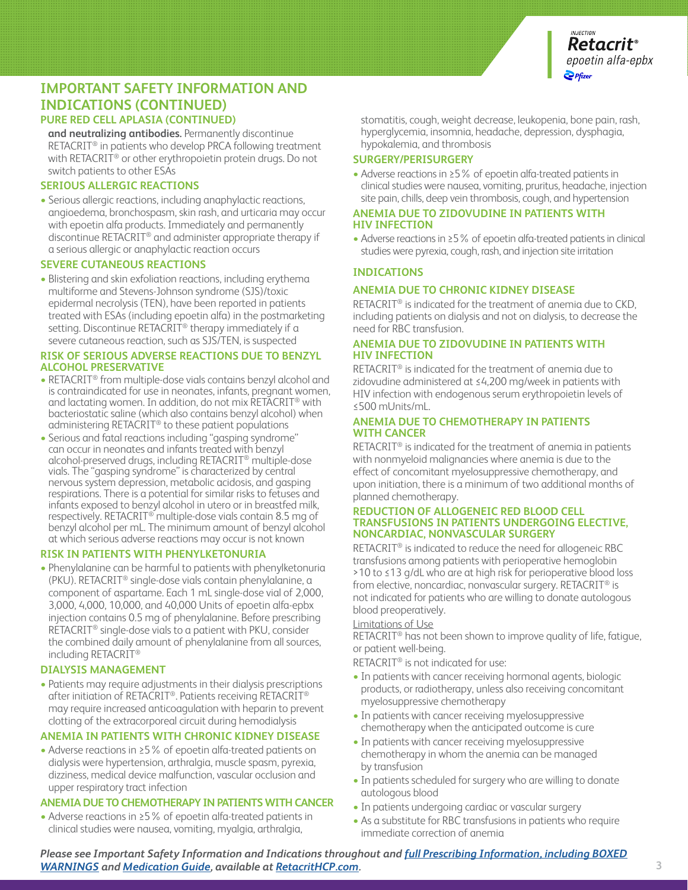

# **PURE RED CELL APLASIA (CONTINUED) IMPORTANT SAFETY INFORMATION AND INDICATIONS (CONTINUED)**

**and neutralizing antibodies.** Permanently discontinue RETACRIT® in patients who develop PRCA following treatment with RETACRIT<sup>®</sup> or other erythropoietin protein drugs. Do not switch patients to other ESAs

#### **SERIOUS ALLERGIC REACTIONS**

**•** Serious allergic reactions, including anaphylactic reactions, angioedema, bronchospasm, skin rash, and urticaria may occur with epoetin alfa products. Immediately and permanently discontinue RETACRIT® and administer appropriate therapy if a serious allergic or anaphylactic reaction occurs

#### **SEVERE CUTANEOUS REACTIONS**

**•** Blistering and skin exfoliation reactions, including erythema multiforme and Stevens-Johnson syndrome (SJS)/toxic epidermal necrolysis (TEN), have been reported in patients treated with ESAs (including epoetin alfa) in the postmarketing setting. Discontinue RETACRIT<sup>®</sup> therapy immediately if a severe cutaneous reaction, such as SJS/TEN, is suspected

#### **RISK OF SERIOUS ADVERSE REACTIONS DUE TO BENZYL ALCOHOL PRESERVATIVE**

- **•** RETACRIT® from multiple-dose vials contains benzyl alcohol and is contraindicated for use in neonates, infants, pregnant women, and lactating women. In addition, do not mix RETACRIT® with bacteriostatic saline (which also contains benzyl alcohol) when administering RETACRIT® to these patient populations
- **•** Serious and fatal reactions including "gasping syndrome" can occur in neonates and infants treated with benzyl alcohol-preserved drugs, including RETACRIT® multiple-dose vials. The "gasping syndrome" is characterized by central nervous system depression, metabolic acidosis, and gasping respirations. There is a potential for similar risks to fetuses and infants exposed to benzyl alcohol in utero or in breastfed milk, respectively. RETACRIT® multiple-dose vials contain 8.5 mg of benzyl alcohol per mL. The minimum amount of benzyl alcohol at which serious adverse reactions may occur is not known

#### **RISK IN PATIENTS WITH PHENYLKETONURIA**

**•** Phenylalanine can be harmful to patients with phenylketonuria (PKU). RETACRIT® single-dose vials contain phenylalanine, a component of aspartame. Each 1 mL single-dose vial of 2,000, 3,000, 4,000, 10,000, and 40,000 Units of epoetin alfa-epbx injection contains 0.5 mg of phenylalanine. Before prescribing RETACRIT® single-dose vials to a patient with PKU, consider the combined daily amount of phenylalanine from all sources, including RETACRIT®

#### **DIALYSIS MANAGEMENT**

**•** Patients may require adjustments in their dialysis prescriptions after initiation of RETACRIT®. Patients receiving RETACRIT® may require increased anticoagulation with heparin to prevent clotting of the extracorporeal circuit during hemodialysis

#### **ANEMIA IN PATIENTS WITH CHRONIC KIDNEY DISEASE**

**•** Adverse reactions in ≥5% of epoetin alfa-treated patients on dialysis were hypertension, arthralgia, muscle spasm, pyrexia, dizziness, medical device malfunction, vascular occlusion and upper respiratory tract infection

#### **ANEMIA DUE TO CHEMOTHERAPY IN PATIENTS WITH CANCER**

**•** Adverse reactions in ≥5% of epoetin alfa-treated patients in clinical studies were nausea, vomiting, myalgia, arthralgia,

stomatitis, cough, weight decrease, leukopenia, bone pain, rash, hyperglycemia, insomnia, headache, depression, dysphagia, hypokalemia, and thrombosis

#### **SURGERY/PERISURGERY**

**•** Adverse reactions in ≥5% of epoetin alfa-treated patients in clinical studies were nausea, vomiting, pruritus, headache, injection site pain, chills, deep vein thrombosis, cough, and hypertension

#### **ANEMIA DUE TO ZIDOVUDINE IN PATIENTS WITH HIV INFECTION**

**•** Adverse reactions in ≥5% of epoetin alfa-treated patients in clinical studies were pyrexia, cough, rash, and injection site irritation

#### **INDICATIONS**

#### **ANEMIA DUE TO CHRONIC KIDNEY DISEASE**

RETACRIT® is indicated for the treatment of anemia due to CKD, including patients on dialysis and not on dialysis, to decrease the need for RBC transfusion.

#### **ANEMIA DUE TO ZIDOVUDINE IN PATIENTS WITH HIV INFECTION**

RETACRIT® is indicated for the treatment of anemia due to zidovudine administered at ≤4,200 mg/week in patients with HIV infection with endogenous serum erythropoietin levels of ≤500 mUnits/mL.

#### **ANEMIA DUE TO CHEMOTHERAPY IN PATIENTS WITH CANCER**

RETACRIT® is indicated for the treatment of anemia in patients with nonmyeloid malignancies where anemia is due to the effect of concomitant myelosuppressive chemotherapy, and upon initiation, there is a minimum of two additional months of planned chemotherapy.

#### **REDUCTION OF ALLOGENEIC RED BLOOD CELL TRANSFUSIONS IN PATIENTS UNDERGOING ELECTIVE, NONCARDIAC, NONVASCULAR SURGERY**

RETACRIT® is indicated to reduce the need for allogeneic RBC transfusions among patients with perioperative hemoglobin >10 to ≤13 g/dL who are at high risk for perioperative blood loss from elective, noncardiac, nonvascular surgery. RETACRIT® is not indicated for patients who are willing to donate autologous blood preoperatively.

#### Limitations of Use

RETACRIT® has not been shown to improve quality of life, fatigue, or patient well-being.

RETACRIT® is not indicated for use:

- **•** In patients with cancer receiving hormonal agents, biologic products, or radiotherapy, unless also receiving concomitant myelosuppressive chemotherapy
- **•** In patients with cancer receiving myelosuppressive chemotherapy when the anticipated outcome is cure
- **•** In patients with cancer receiving myelosuppressive chemotherapy in whom the anemia can be managed by transfusion
- **•** In patients scheduled for surgery who are willing to donate autologous blood
- **•** In patients undergoing cardiac or vascular surgery
- **•** As a substitute for RBC transfusions in patients who require immediate correction of anemia

*Please see Important Safety Information and Indications throughout and [full Prescribing Information, including BOXED](http://labeling.pfizer.com/ShowLabeling.aspx?id=10738)  [WARNINGS](http://labeling.pfizer.com/ShowLabeling.aspx?id=10738) and [Medication Guide](http://labeling.pfizer.com/ShowLabeling.aspx?id=10738§ion=MedGuide), available at [RetacritHCP.com](https://www.pfizerpro.com/product/retacrit/hcp).*